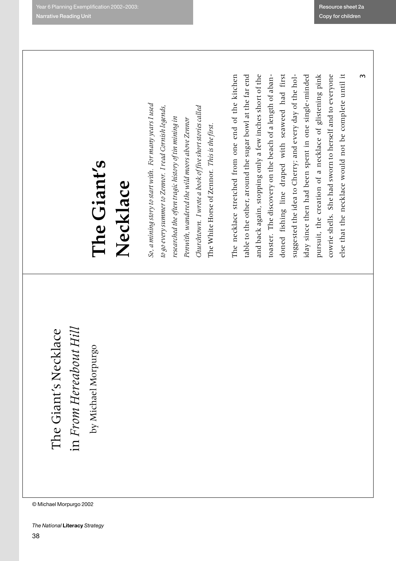© Michael Morpurgo 2002

The Giant's Necklace in From Hereabout Hill in *From Hereabout Hill* The Giant's Necklace

### by Michael Morpurgo by Michael Morpurgo

#### The Giant's **The Giant's** Necklace **Necklace**

So, a mining story to start with. For many years I used *So, a mining story to start with. For many years I used Churchtown. I wrote a book of five short stories called*  Churchtown. I wrote a book of five short stories called to go every summer to Zennor. I read Cornish legends, *to go every summer to Zennor. I read Cornish legends, researched the often tragic history of tin mining in*  researched the often tragic history of tin mining in Penwith, wandered the wild moors above Zennor *Penwith, wandered the wild moors above Zennor*  The White Horse of Zennor. This is the first. The White Horse of Zennor*. This is the first.*

The necklace stretched from one end of the kitchen doned fishing line draped with seaweed had first iday since then had been spent in one single-minded The necklace stretched from one end of the kitchen table to the other, around the sugar bowl at the far end and back again, stopping only a few inches short of the doned fishing line draped with seaweed had first suggested the idea to Cherry; and every day of the holiday since then had been spent in one single-minded pursuit, the creation of a necklace of glistening pink cowrie shells. She had sworn to herself and to everyone else that the necklace would not be complete until it table to the other, around the sugar bowl at the far end and back again, stopping only a few inches short of the toaster. The discovery on the beach of a length of abanpursuit, the creation of a necklace of glistening pink cowrie shells. She had sworn to herself and to everyone else that the necklace would not be complete until it toaster. The discovery on the beach of a length of abansuggested the idea to Cherry; and every day of the hol-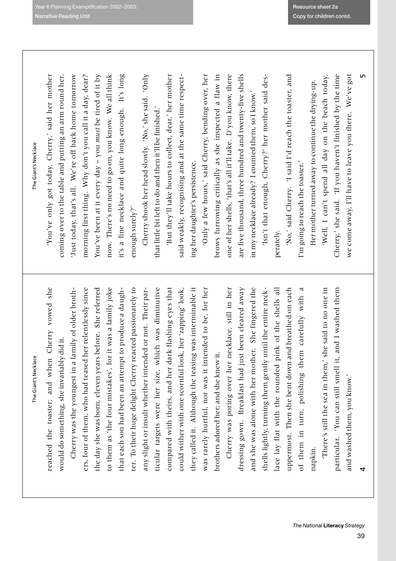reached the toaster; and when Cherry vowed she eached the toaster; and when Cherry vowed she would do something, she invariably did it. would do something, she invariably did it.

the day she was born, eleven years before. She referred to them as 'the four mistakes', for it was a family joke ticular targets were her size, which was diminutive ers, four of them, who had teased her relentlessly since he day she was born, eleven years before. She referred o them as 'the four mistakes', for it was a family joke hat each son had been an attempt to produce a daugher. To their huge delight Cherry reacted passionately to icular targets were her size, which was diminutive compared with theirs, and her dark flashing eyes that they called it. Although the teasing was interminable it. was rarely hurtful, nor was it intended to be, for her Cherry was the youngest in a family of older brothers, four of them, who had teased her relentlessly since ter. To their huge delight Cherry reacted passionately to any slight or insult whether intended or not. Their parcompared with theirs, and her dark flashing eyes that could wither with one scornful look, her 'zapping' look, they called it. Although the teasing was interminable it was rarely hurtful, nor was it intended to be, for her Cherry was the youngest in a family of older broththat each son had been an attempt to produce a daughany slight or insult whether intended or not. Their parcould wither with one scornful look, her 'zapping' look, prothers adored her; and she knew it. brothers adored her; and she knew it.

dressing gown. Breakfast had just been cleared away lace lay flat with the rounded pink of the shells all uppermost. Then she bent down and breathed on each of them in turn, polishing them carefully with a uppermost. Then she bent down and breathed on each  $\sigma$ Cherry was poring over her necklace, still in her dressing gown. Breakfast had just been cleared away and she was alone with her mother. She fingered the shells lightly, turning them gently until the entire neckace lay flat with the rounded pink of the shells all Cherry was poring over her necklace, still in her and she was alone with her mother. She fingered the shells lightly, turning them gently until the entire neckwith in turn, polishing them carefully of them napkin.

'There's still the sea in them,' she said to no one in particular. 'You can still smell it, and I washed them There's still the sea in them,' she said to no one in particular. 'You can still smell it, and I washed them and washed them, you know.' and washed them, you know.

The Giant's Necklace

'You've only got today, Cherry,' said her mother coming over to the table and putting an arm round her. 'Just today, that's all. We're off back home tomorrow morning first thing. Why don't you call it a day, dear? It's long You've been at it every day  $-$  you *must* be tired of it by You've been at it every day – you *must* be tired of it by now. There's no need to go on, you know. We all think now. There's no need to go on, you know. We all think it's a fine necklace and quite long enough. It's long it's a fine necklace and quite long enough. enough surely?' enough surely?'

Cherry shook her head slowly. 'No,' she said. 'Only Cherry shook her head slowly. 'No,' she said. 'Only that little bit left to do and then it'll be finished.' that little bit left to do and then it'll be finished. But they'll take hours to collect, dear,' her mother 'But they'll take hours to collect, dear,' her mother said weakly, recognising and at the same time respectsaid weakly, recognising and at the same time respecting her daughter's persistence. ing her daughter's persistence.

brows furrowing critically as she inspected a flaw in 'Only a few hours,' said Cherry, bending over, her brows furrowing critically as she inspected a flaw in are five thousand, three hundred and twenty-five shells 'Only a few hours,' said Cherry, bending over, her one of her shells, 'that's all it'll take. D'you know, there one of her shells, 'that's all it'll take.  $\rm\,D$ 'you know, there are five thousand, three hundred and twenty-five shells in my necklace already? I counted them, so I know.' in my necklace already? I counted them, so I know.

Isn't that enough, Cherry?' her mother said des-'Isn't that enough, Cherry?' her mother said desperately.

'No,' said Cherry. 'I said I'd reach the toaster, and 'No,' said Cherry. 'I said I'd reach the toaster, and I'm going to reach the toaster.' I'm going to reach the toaster.'

Cherry,' she said. 'If you haven't finished by the time we come away, I'll have to leave you there. We've got Cherry,' she said. 'If you haven't finished by the time "Well, I can't spend all day on the beach today, we come away, I'll have to leave you there. We've got 'Well, I can't spend all day on the beach today, Her mother turned away to continue the drying-up. Her mother turned away to continue the drying-up.

 $\overline{5}$ 

 $\overline{a}$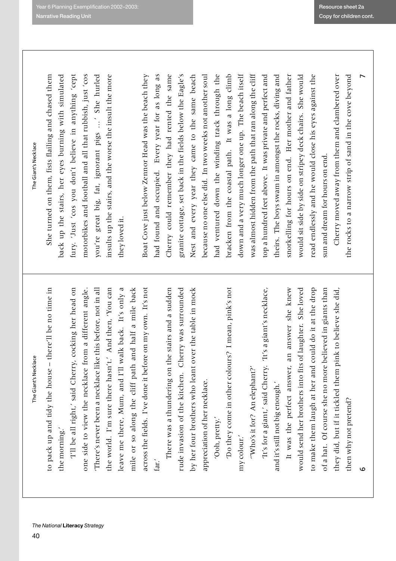to pack up and tidy the house – there'll be no time in o pack up and tidy the house - there'll be no time in the morning.' the morning.

'I'll be all right,' said Cherry, cocking her head on leave me there, Mum, and I'll walk back. It's only a mile or so along the cliff path and half a mile back eave me there, Mum, and I'll walk back. It's only a T'll be all right,' said Cherry, cocking her head on one side to view the necklace from a different angle. There's never been a necklace like this before, not in all the world. I'm sure there hasn't.' And then, 'You can mile or so along the cliff path and half a mile back across the fields. I've done it before on my own. It's not 'There's never been a necklace like this before, not in all the world. I'm sure there hasn't.' And then, 'You can across the fields. I've done it before on my own. It's not one side to view the necklace from a different angle. far.'

rude invasion of the kitchen. Cherry was surrounded There was a thundering on the stairs and a sudden rude invasion of the kitchen. Cherry was surrounded by her four brothers who leant over the table in mock There was a thundering on the stairs and a sudden by her four brothers who leant over the table in mock appreciation of her necklace. appreciation of her necklace.

'Ooh, pretty.' 'Ooh, pretty.' Do they come in other colours? I mean, pink's not 'Do they come in other colours? I mean, pink's not my colour.' my colour.

"Who's it for? An elephant?" ''Who's it for? An elephant?' It's for a giant,' said Cherry. 'It's a giant's necklace, 'It's for a giant,' said Cherry. 'It's a giant's necklace, and it's still not big enough.' and it's still not big enough.'

It was the perfect answer, an answer she knew would send her brothers into fits of laughter. She loved to make them laugh at her and could do it at the drop of a hat. Of course she no more believed in giants than they did, but if it tickled them pink to believe she did, would send her brothers into fits of laughter. She loved It was the perfect answer, an answer she knew to make them laugh at her and could do it at the drop of a hat. Of course she no more believed in giants than they did, but if it tickled them pink to believe she did, then why not pretend? then why not pretend?

## The Giant's Necklace The Giant's Necklace The Giant's Necklace

you're great big, fat, ignorant pigs … ' She hurled She turned on them, fists flailing and chased them back up the stairs, her eyes burning with simulated fury. 'Just 'cos you don't believe in anything 'cept motorbikes and football and all that rubbish, just 'cos you're great big, fat, ignorant pigs ...' She hurled insults up the stairs, and the worse the insult the more insults up the stairs, and the worse the insult the more they loved it. they loved it.

had found and occupied. Every year for as long as Cherry could remember they had rented the same Nest and every year they came to the same beach bracken from the coastal path. It was a long climb read endlessly and he would close his eyes against the had found and occupied. Every year for as long as Cherry could remember they had rented the same granite cottage, set back in the fields below the Eagle's Nest and every year they came to the same beach because no one else did. In two weeks not another soul had ventured down the winding track through the bracken from the coastal path. It was a long climb down and a very much longer one up. The beach itself was almost hidden from the path that ran along the cliff top a hundred feet above. It was private and perfect and theirs. The boys swam in amongst the rocks, diving and snorkelling for hours on end. Her mother and father would sit side by side on stripey deck chairs. She would Boat Cove just below Zennor Head was the beach they Boat Cove just below Zennor Head was the beach they granite cottage, set back in the fields below the Eagle's because no one else did. In two weeks not another soul had ventured down the winding track through the down and a very much longer one up. The beach itself was almost hidden from the path that ran along the cliff top a hundred feet above. It was private and perfect and theirs. The boys swam in amongst the rocks, diving and snorkelling for hours on end. Her mother and father would sit side by side on stripey deck chairs. She would read endlessly and he would close his eyes against the sun and dream for hours on end. sun and dream for hours on end.

the rocks to a narrow strip of sand in the cove beyond Cherry moved away from them and clambered over the rocks to a narrow strip of sand in the cove beyond Cherry moved away from them and clambered over

 $\overline{2}$ 

*The National* **Literacy** *Strategy*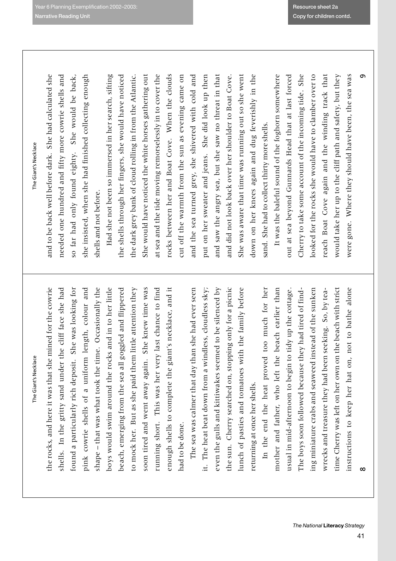shells. In the gritty sand under the cliff face she had pink cowrie shells of a uniform length, colour and beach, emerging from the sea all goggled and flippered soon tired and went away again. She knew time was enough shells to complete the giant's necklace, and it beach, emerging from the sea all goggled and flippered This was her very last chance to find he rocks, and here it was that she mined for the cowrie In the gritty sand under the cliff face she had ound a particularly rich deposit. She was looking for oink cowrie shells of a uniform length, colour and hape - that was what took the time. Occasionally the boys would swim around the rocks and in to her little o mock her. But as she paid them little attention they oon tired and went away again. She knew time was enough shells to complete the giant's necklace, and it the rocks, and here it was that she mined for the cowrie found a particularly rich deposit. She was looking for shape – that was what took the time. Occasionally the boys would swim around the rocks and in to her little to mock her. But as she paid them little attention they running short. This was her very last chance to find unning short. had to be done. had to be done. hells.

The sea was calmer that day than she had ever seen The heat beat down from a windless, cloudless sky; even the gulls and kittiwakes seemed to be silenced by The sea was calmer that day than she had ever seen even the gulls and kittiwakes seemed to be silenced by he sun. Cherry searched on, stopping only for a picnic unch of pasties and tomatoes with the family before the sun. Cherry searched on, stopping only for a picnic lunch of pasties and tomatoes with the family before it. The heat beat down from a windless, cloudless sky; returning at once her shells. returning at once her shells.  $\pm$ 

In the end the heat proved too much for her mother and father, who left the beach earlier than instructions to keep her hat on, not to bathe alone In the end the heat proved too much for her mother and father, who left the beach earlier than usual in mid-afternoon to begin to tidy up the cottage. The boys soon followed because they had tired of findng miniature crabs and seaweed instead of the sunken wrecks and treasure they had been seeking. So, by teaime Cherry was left on her own on the beach with strict instructions to keep her hat on, not to bathe alone ing miniature crabs and seaweed instead of the sunken time Cherry was left on her own on the beach with strict usual in mid-afternoon to begin to tidy up the cottage. The boys soon followed because they had tired of findwrecks and treasure they had been seeking. So, by tea-

#### The Giant's Necklace

and to be back well before dark. She had calculated she needed one hundred and fifty more cowrie shells and so far had only found eighty. She would be back, she insisted, when she had finished collecting enough shells and not before. shells and not before.

the shells through her fingers, she would have noticed She would have noticed the white horses gathering out rocks between her and Boat Cove. When the clouds cut off the warmth from the sun as evening came on and the sea turned grey, she shivered with cold and put on her sweater and jeans. She did look up then and saw the angry sea, but she saw no threat in that down on her knees again and dug feverishly in the Had she not been so immersed in her search, sifting the shells through her fingers, she would have noticed at sea and the tide moving remorselessly in to cover the rocks between her and Boat Cove. When the clouds cut off the warmth from the sun as evening came on and the sea turned grey, she shivered with cold and on her sweater and jeans. She did look up then and saw the angry sea, but she saw no threat in that She was aware that time was running out so she went Had she not been so immersed in her search, sifting the dark grey bank of cloud rolling in from the Atlantic. She would have noticed the white horses gathering out at sea and the tide moving remorselessly in to cover the and did not look back over her shoulder to Boat Cove. She was aware that time was running out so she went down on her knees again and dug feverishly in the the dark grey bank of cloud rolling in from the Atlantic. and did not look back over her shoulder to Boat Cove. sand. She had to collect thirty more shells. sand. She had to collect thirty more shells. put

reach Boat Cove again and the winding track that She It was the baleful sound of the foghorn somewhere out at sea beyond Gunnards Head that at last forced looked for the rocks she would have to clamber over to reach Boat Cove again and the winding track that would take her up to the cliff path and safety, but they were gone. Where they should have been, the sea was It was the baleful sound of the foghorn somewhere out at sea beyond Gunnards Head that at last forced Cherry to take some account of the incoming tide. She looked for the rocks she would have to clamber over to would take her up to the cliff path and safety, but they were gone. Where they should have been, the sea was Cherry to take some account of the incoming tide.

თ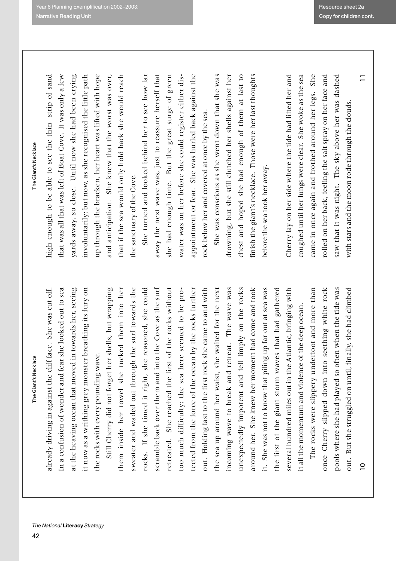42

already driving in against the cliff face. She was cut off. In a confusion of wonder and fear she looked out to sea at the heaving ocean that moved in towards her, seeing liready driving in against the cliff face. She was cut off. in a confusion of wonder and fear she looked out to sea at the heaving ocean that moved in towards her, seeing it now as a writhing grey monster breathing its fury on it now as a writhing grey monster breathing its fury on the rocks with every pounding wave. the rocks with every pounding wave.

*The National* **Literacy** *Strategy*

them inside her towel she tucked them into her rocks. If she timed it right, she reasoned, she could retreated. She reached the first of the rocks without out. Holding fast to the first rock she came to and with incoming wave to break and retreat. The wave was around her. She knew her moment had come and took the first of the giant storm waves that had gathered several hundred miles out in the Atlantic, bringing with them inside her towel she tucked them into her scramble back over them and into the Cove as the surf ncoming wave to break and retreat. The wave was unexpectedly impotent and fell limply on the rocks around her. She knew her moment had come and took it. She was not to know that piling up far out at sea was Still Cherry did not forget her shells, but wrapping weater and waded out through the surf towards the ocks. If she timed it right, she reasoned, she could retreated. She reached the first of the rocks without oo much difficulty; the sea here seemed to be proected from the force of the ocean by the rocks further out. Holding fast to the first rock she came to and with the sea up around her waist, she waited for the next the first of the giant storm waves that had gathered several hundred miles out in the Atlantic, bringing with Still Cherry did not forget her shells, but wrapping sweater and waded out through the surf towards the scramble back over them and into the Cove as the surf tected from the force of the ocean by the rocks further the sea up around her waist, she waited for the next unexpectedly impotent and fell limply on the rocks it. She was not to know that piling up far out at sea was too much difficulty; the sea here seemed to be proit all the momentum and violence of the deep ocean. it all the momentum and violence of the deep ocean.

once Cherry slipped down into seething white rock pools where she had played so often when the tide was The rocks were slippery underfoot and more than once Cherry slipped down into seething white rock out. But she struggled on until, finally, she had climbed The rocks were slippery underfoot and more than pools where she had played so often when the tide was out. But she struggled on until, finally, she had climbed

The Giant's Necklace The Giant's Necklace The Giant's Necklace

and anticipation. She knew that the worst was over, that if the sea would only hold back she would reach high enough to be able to see the thin strip of sand that was all that was left of Boat Cove. It was only a few yards away, so close. Until now she had been crying involuntarily; but now, as she recognised the little path that if the sea would only hold back she would reach up through the bracken, her heart was lifted with hope up through the bracken, her heart was lifted with hope and anticipation. She knew that the worst was over, the sanctuary of the Cove. the sanctuary of the Cove.

away the next wave was, just to reassure herself that she had enough time. But the great surge of green she had enough time. But the great surge of green She turned and looked behind her to see how far She turned and looked behind her to see how far away the next wave was, just to reassure herself that water was on her before she could register either disappointment or fear. She was hurled back against the appointment or fear. She was hurled back against the water was on her before she could register either disrock below her and covered at once by the sea. rock below her and covered at once by the sea.

chest and hoped she had enough of them at last to She was conscious as she went down that she was chest and hoped she had enough of them at last to finish the giant's necklace. Those were her last thoughts She was conscious as she went down that she was drowning, but she still clutched her shells against her drowning, but she still clutched her shells against her finish the giant's necklace. Those were her last thoughts before the sea took her away. before the sea took her away.

saw that it was night. The sky above her was dashed Cherry lay on her side where the tide had lifted her and coughed until her lungs were clear. She woke as the sea came in once again and frothed around her legs. She Cherry lay on her side where the tide had lifted her and coughed until her lungs were clear. She woke as the sea came in once again and frothed around her legs. She rolled on her back, feeling the salt spray on her face and rolled on her back, feeling the salt spray on her face and saw that it was night. The sky above her was dashed with stars and the moon rode through the clouds. with stars and the moon rode through the clouds.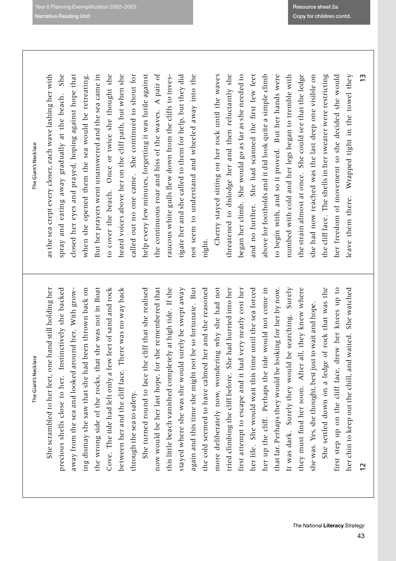precious shells close to her. Instinctively she backed ing dismay she saw that she had been thrown back on She scrambled to her feet, one hand still holding her precious shells close to her. Instinctively she backed away from the sea and looked around her. With growng dismay she saw that she had been thrown back on he wrong side of the rocks, that she was not in Boat Cove. The tide had left only a few feet of sand and rock There was no way back She scrambled to her feet, one hand still holding her the wrong side of the rocks, that she was not in Boat Cove. The tide had left only a few feet of sand and rock between her and the cliff face. There was no way back away from the sea and looked around her. With growbetween her and the cliff face. hrough the sea to safety. through the sea to safety.

now would be her last hope, for she remembered that again and this time she might not be so fortunate. But more deliberately now, wondering why she had not first attempt to escape and it had very nearly cost her her life. She would wait this time until the sea forced her up the cliff. Perhaps the tide would not come in that far. Perhaps they would be looking for her by now. It was dark. Surely they would be searching. Surely they must find her soon. After all, they knew where he cold seemed to have calmed her and she reasoned ner life. She would wait this time until the sea forced She turned round to face the cliff that she realised how would be her last hope, for she remembered that his little beach vanished completely at high tide. If she ttayed where she was she would surely be swept away again and this time she might not be so fortunate. But more deliberately now, wondering why she had not ried climbing the cliff before. She had hurried into her first attempt to escape and it had very nearly cost her her up the cliff. Perhaps the tide would not come in hat far. Perhaps they would be looking for her by now. It was dark. Surely they would be searching. Surely they must find her soon. After all, they knew where She turned round to face the cliff that she realised this little beach vanished completely at high tide. If she stayed where she was she would surely be swept away the cold seemed to have calmed her and she reasoned tried climbing the cliff before. She had hurried into her she was. Yes, she thought, best just to wait and hope. she was. Yes, she thought, best just to wait and hope.

She settled down on a ledge of rock that was the first step up on the cliff face, drew her knees up to her chin to keep out the chill, and waited. She watched first step up on the cliff face, drew her knees up to She settled down on a ledge of rock that was the her chin to keep out the chill, and waited. She watched

#### The Giant's Necklace

But her prayers went unanswered and the sea came in to cover the beach. Once or twice she thought she called out no one came. She continued to shout for help every few minutes, forgetting it was futile against the continuous roar and hiss of the waves. A pair of tigate her and she called to them for help, but they did not seem to understand and wheeled away into the as the sea crept every closer, each wave lashing her with spray and eating away gradually at the beach. She closed her eyes and prayed, hoping against hope that when she opened them the sea would be retreating. But her prayers went unanswered and the sea came in heard voices above her on the cliff path, but when she called out no one came. She continued to shout for the continuous roar and hiss of the waves. A pair of to cover the beach. Once or twice she thought she heard voices above her on the cliff path, but when she help every few minutes, forgetting it was futile against raucous white gulls flew down from the cliffs to invesigate her and she called to them for help, but they did not seem to understand and wheeled away into the raucous white gulls flew down from the cliffs to invesnight.

threatened to dislodge her and then reluctantly she began her climb. She would go as far as she needed to and no further. She had scanned the first few feet above for footholds and it did look quite a simple climb numbed with cold and her legs began to tremble with the strain almost at once. She could see that the ledge she had now reached was the last deep one visible on her freedom of movement so she decided she would leave them there. Wrapped tight in the towel they Cherry stayed sitting on her rock until the waves began her climb. She would go as far as she needed to and no further. She had scanned the first few feet above for footholds and it did look quite a simple climb to begin with, and so it proved. But her hands were numbed with cold and her legs began to tremble with the strain almost at once. She could see that the ledge the cliff face. The shells in her sweater were restricting her freedom of movement so she decided she would Cherry stayed sitting on her rock until the waves threatened to dislodge her and then reluctantly she to begin with, and so it proved. But her hands were she had now reached was the last deep one visible on the cliff face. The shells in her sweater were restricting leave them there. Wrapped tight in the towel they

 $\tilde{1}$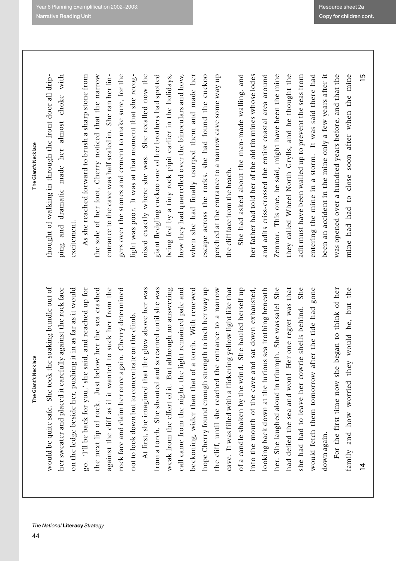on the ledge beside her, pushing it in as far as it would go. 'I'll be back for you,' she said, and reached up for against the cliff as if it wanted to suck her from the rock face and claim her once again. Cherry determined would be quite safe. She took the soaking bundle out of ner sweater and placed it carefully against the rock face on the ledge beside her, pushing it in as far as it would go. TIl be back for you,' she said, and reached up for the next lip of rock. Just below her the sea crashed against the cliff as if it wanted to suck her from the would be quite safe. She took the soaking bundle out of her sweater and placed it carefully against the rock face the next lip of rock. Just below her the sea crashed rock face and claim her once again. Cherry determined not to look down but to concentrate on the climb. not to look down but to concentrate on the climb.

weak from the effort of it. But although no answering the cliff, until she reached the entrance to a narrow cave. It was filled with a flickering yellow light like that into the mouth of the cave and sat down exhausted, had defied the sea and won! Her one regret was that She she had had to leave her cowrie shells behind. She would fetch them tomorrow after the tide had gone from a torch. She shouted and screamed until she was hope Cherry found enough strength to inch her way up gone At first, she imagined that the glow above her was weak from the effort of it. But although no answering call came from the night, the light remained pale and beckoning, wider than that of a torch. With renewed the cliff, until she reached the entrance to a narrow cave. It was filled with a flickering yellow light like that of a candle shaken by the wind. She hauled herself up ooking back down at the furious sea frothing beneath her. She laughed aloud in triumph. She was safe! She had defied the sea and won! Her one regret was that At first, she imagined that the glow above her was from a torch. She shouted and screamed until she was call came from the night, the light remained pale and beckoning, wider than that of a torch. With renewed hope Cherry found enough strength to inch her way up of a candle shaken by the wind. She hauled herself up nto the mouth of the cave and sat down exhausted, looking back down at the furious sea frothing beneath her. She laughed aloud in triumph. She was safe! She she had had to leave her cowrie shells behind. would fetch them tomorrow after the tide had down again. down again.

For the first time now she began to think of her family and how worried they would be, but the For the first time now she began to think of her family and how worried they would be, but the

The Giant's Necklace The Giant's Necklace The Giant's Necklace

thought of walking in through the front door all drip- ping and dramatic made her almost choke with excitement.<br>excitement. As she reached forward to brush a sharp stone from

nised exactly where she was. She recalled now the being fed by a tiny rock pipit earlier in the holidays, when she had finally usurped them and made her gers over the stones and cement to make sure, for the escape across the rocks, she had found the cuckoo the sole of her foot, Cherry noticed that the narrow the sole of her foot, Cherry noticed that the narrow gers over the stones and cement to make sure, for the nised exactly where she was. She recalled now the giant fledgling cuckoo one of her brothers had spotted giant fledgling cuckoo one of her brothers had spotted being fed by a tiny rock pipit earlier in the holidays, how they had quarrelled over the binoculars and how, when she had finally usurped them and made her escape across the rocks, she had found the cuckoo perched at the entrance to a narrow cave some way up perched at the entrance to a narrow cave some way up entrance to the cave was half sealed in. She ran her finentrance to the cave was half sealed in. She ran her finlight was poor. It was at that moment that she recoglight was poor. It was at that moment that she recoghow they had quarrelled over the binoculars and how, the cliff face from the beach. the cliff face from the beach.

She had asked about the man-made walling, and Zennor. This one, he said, might have been the mine they called Wheel North Grylls, and he thought the entering the mine in a storm. It was said there had been an accident in the mine only a few years after it mine had had to close soon after when the mine her father had told her of the old tin mines whose lodes and adits criss-crossed the entire coastal area around Zennor. This one, he said, might have been the mine adit must have been walled up to prevent the seas from entering the mine in a storm. It was said there had been an accident in the mine only a few years after it was opened over a hundred years before, and that the mine had had to close soon after when the mine She had asked about the man-made walling, and her father had told her of the old tin mines whose lodes and adits criss-crossed the entire coastal area around they called Wheel North Grylls, and he thought the adit must have been walled up to prevent the seas from was opened over a hundred years before, and that the

15

 $\overline{4}$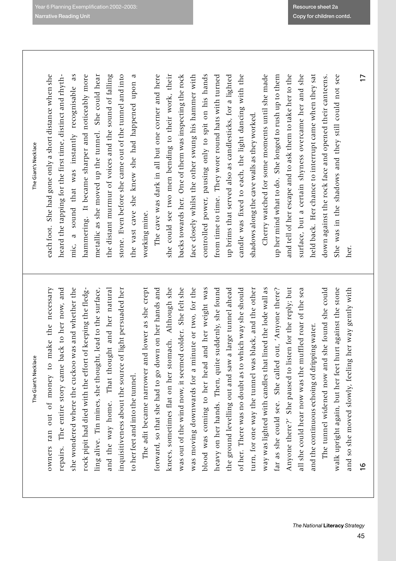owners ran out of money to make the necessary repairs. The entire story came back to her now, and ling alive. Tin mines, she thought, lead to the surface, and the way home. That thought and her natural inquisitiveness about the source of light persuaded her and the way home. That thought and her natural out of money to make the necessary The entire story came back to her now, and the wondered where the cuckoo was and whether the ock pipit had died with the effort of keeping the fledgnquisitiveness about the source of light persuaded her she wondered where the cuckoo was and whether the ing alive. Tin mines, she thought, lead to the surface, rock pipit had died with the effort of keeping the fledgto her feet and into the tunnel. to her feet and into the tunnel. wners ran epairs.

The adit became narrower and lower as she crept knees, sometimes flat on her stomach. Although she blood was coming to her head and her weight was heavy on her hands. Then, quite suddenly, she found the ground levelling out and saw a large tunnel ahead turn, for one way the tunnel was black, and the other Anyone there?' She paused to listen for the reply; but all she could hear now was the muffled roar of the sea plood was coming to her head and her weight was orward, so that she had to go down on her hands and knees, sometimes flat on her stomach. Although she was out of the wind now, it seemed colder. She felt she was moving downwards for a minute or two, for the neavy on her hands. Then, quite suddenly, she found he ground levelling out and saw a large tunnel ahead of her. There was no doubt as to which way she should turn, for one way the tunnel was black, and the other way was lighted with candles that lined the lode wall as ar as she could see. She called out, 'Anyone there? Anyone there?' She paused to listen for the reply; but all she could hear now was the muffled roar of the sea The adit became narrower and lower as she crept forward, so that she had to go down on her hands and was out of the wind now, it seemed colder. She felt she was moving downwards for a minute or two, for the of her. There was no doubt as to which way she should way was lighted with candles that lined the lode wall as far as she could see. She called out, 'Anyone there? and the continuous echoing of dripping water. and the continuous echoing of dripping water.

walk upright again, but her feet hurt against the stone The tunnel widened now and she found she could walk upright again, but her feet hurt against the stone and so she moved slowly, feeling her way gently with The tunnel widened now and she found she could and so she moved slowly, feeling her way gently with

#### The Giant's Necklace

metallic as she moved up the tunnel. She could hear the vast cave she knew she had happened upon a each foot. She had gone only a short distance when she heard the tapping for the first time, distinct and rhyth- mic, a sound that was instantly recognisable as hammering. It became sharper and noticeably more the distant murmur of voices and the sound of falling stone. Even before she came out of the tunnel and into  $\sigma$ metallic as she moved up the tunnel. She could hear the distant murmur of voices and the sound of falling stone. Even before she came out of the tunnel and into the vast cave she knew she had happened upon working mine. working mine.

The cave was dark in all but one corner and here she could see two men bending to their work, their face closely whilst the other swung his hammer with controlled power, pausing only to spit on his hands from time to time. They wore round hats with turned up brims that served also as candlesticks, for a lighted candle was fixed to each, the light dancing with the she could see two men bending to their work, their face closely whilst the other swung his hammer with controlled power, pausing only to spit on his hands The cave was dark in all but one corner and here backs towards her. One of them was inspecting the rock backs towards her. One of them was inspecting the rock from time to time. They wore round hats with turned up brims that served also as candlesticks, for a lighted candle was fixed to each, the light dancing with the shadows along the cave walls as they worked. shadows along the cave walls as they worked.

Cherry watched for some moments until she made surface, but a certain shyness overcame her and she She was in the shadows and they still could not see Cherry watched for some moments until she made up her mind what to do. She longed to rush up to them and tell of her escape and to ask them to take her to the surface, but a certain shyness overcame her and she up her mind what to do. She longed to rush up to them and tell of her escape and to ask them to take her to the held back. Her chance to interrupt came when they sat held back. Her chance to interrupt came when they sat down against the rock face and opened their canteens. She was in the shadows and they still could not see down against the rock face and opened their canteens. her.

 $\frac{1}{2}$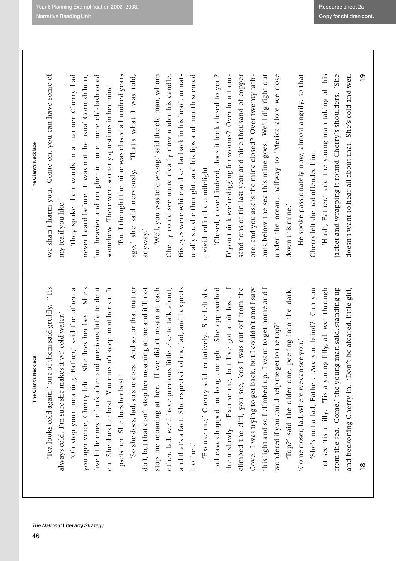46

Tea looks cold again,' one of them said gruffly. "Tis 'Tea looks cold again,' one of them said gruffly. ''Tis always cold. I'm sure she makes it wi' cold water.' always cold. I'm sure she makes it wi' cold water.

*The National* **Literacy** *Strategy*

younger voice, Cherry felt. 'She does her best. She's younger voice, Cherry felt. 'She does her best. She's five little ones to look after and precious little to do it ive little ones to look after and precious little to do it on. She does her best. You mustn't keep on at her so. It Oh stop your moaning, Father,' said the other, a 'Oh stop your moaning, Father,' said the other, a on. She does her best. You mustn't keep on at her so. It upsets her. She does her best.' upsets her. She does her best.

stop me moaning at her. If we didn't moan at each other, lad, we'd have precious little else to talk about, and that's a fact. She expects it of me, lad, and I expects So she does, lad, so she does. And so for that matter do I, but that don't stop her moaning at me and it'll not stop me moaning at her. If we didn't moan at each other, lad, we'd have precious little else to talk about, and that's a fact. She expects it of me, lad, and I expects 'So she does, lad, so she does. And so for that matter do I, but that don't stop her moaning at me and it'll not it of her.' it of her.

'Excuse me,' Cherry said tentatively. She felt she them slowly. 'Excuse me, but I've got a bit lost. I climbed the cliff, you see, 'cos I was cut off from the Cove. I was trying to get back, but I couldn't and I saw this light and so I climbed up. I want to get home and I aad eavesdropped for long enough. She approached 'Excuse me,' Cherry said tentatively. She felt she hem slowly. 'Excuse me, but I've got a bit lost. I dimbed the cliff, you see, 'cos I was cut off from the Cove. I was trying to get back, but I couldn't and I saw had eavesdropped for long enough. She approached this light and so I climbed up. I want to get home and I wondered if you could help me get to the top?  $\hspace{-.08in}^2$ wondered if you could help me get to the top?'

'Top?' said the older one, peering into the dark. 'Top?' said the older one, peering into the dark. 'Come closer, lad, where we can see you.' Come closer, lad, where we can see you.'

'She's not a lad, Father. Are you blind? Can you not see 'tis a filly. 'Tis a young filly, all wet through and beckoning Cherry in. 'Don't be afeared, little girl, from the sea. Come,' the young man said, standing up She's not a lad, Father. Are you blind? Can you not see 'tis a filly. 'Tis a young filly, all wet through and beckoning Cherry in. 'Don't be afeared, little girl, from the sea. Come,' the young man said, standing up

The Giant's Necklace

but heavier and rougher in tone, more old-fashioned we shan't harm you. Come on, you can have some of<br>my tea if you like.'<br>They spoke their words in a manner Cherry had<br>never heard before. It was not the usual Cornish burr, but heavier and rougher in tone, more old-fashioned

ago,' she said nervously. 'That's what I was told, But I thought the mine was closed a hundred years 'But I thought the mine was closed a hundred years "That's what I was told, ago,' she said nervously. anyway.'

somehow. There were so many questions in her mind.

somehow. There were so many questions in her mind.

Cherry could see more clearly now under his candle. urally so, she thought, and his lips and mouth seemed 'Well, you was told wrong,' said the old man, whom 'Well, you was told wrong,' said the old man, whom Cherry could see more clearly now under his candle. His eyes were white and set far back in his head, unnaturally so, she thought, and his lips and mouth seemed His eyes were white and set far back in his head, unnata vivid red in the candlelight. a vivid red in the candlelight.

sand tons of tin last year and nine thousand of copper under the ocean, halfway to 'Merica afore we close 'Closed, closed indeed, does it look closed to you? oms below the sea this mine goes. We'll dig right out D'you think we're digging for worms? Over four thousand tons of tin last year and nine thousand of copper ore, and you ask is the mine closed? Over twenty fathoms below the sea this mine goes. We'll dig right out under the ocean, halfway to 'Merica afore we close 'Closed, closed indeed, does it look closed to you? D'you think we're digging for worms? Over four thouore, and you ask is the mine closed? Over twenty fathdown this mine.' down this mine.'

He spoke passionately now, almost angrily, so that He spoke passionately now, almost angrily, so that Cherry felt she had offended him. Cherry felt she had offended him.

'Hush, Father,' said the young man taking off his jacket and wrapping it round Cherry's shoulders. 'She 'Hush, Father,' said the young man taking off his jacket and wrapping it round Cherry's shoulders. 'She doesn't want to hear all about that. She's cold and wet. doesn't want to hear all about that. She's cold and wet.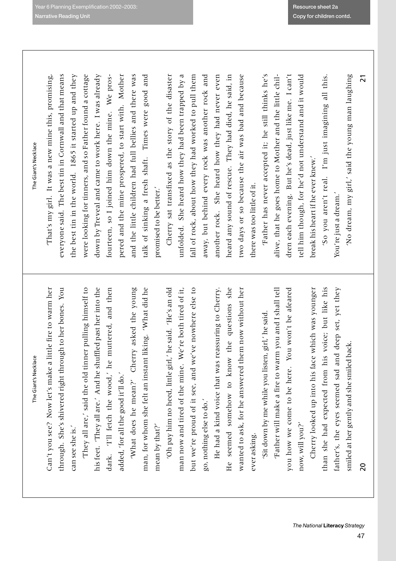Can't you see? Now let's make a little fire to warm her hrough. She's shivered right through to her bones. You Can't you see? Now let's make a little fire to warm her through. She's shivered right through to her bones. You can see she is.' can see she is.'

'They all are,' said the old tinner pulling himself to dark. 'I'll fetch the wood,' he muttered, and then They all are,' said the old tinner pulling himself to his feet. "They all are.' And he shuffled past her into the dark. Tll fetch the wood,' he muttered, and then his feet. 'They all are.' And he shuffled past her into the added, 'for all the good it'll do.' added, 'for all the good it'll do.'

'What does he mean?' Cherry asked the young 'What does he mean?' Cherry asked the young man, for whom she felt an instant liking. 'What did he man, for whom she felt an instant liking. 'What did he mean by that?' mean by that?'

man now and tired of the mine. We're both tired of it, but we're proud of it see, and we've nowhere else to 'Oh pay him no heed, little girl,' he said. 'He's an old man now and tired of the mine. We're both tired of it, but we're proud of it see, and we've nowhere else to 'Oh pay him no heed, little girl,' he said. 'He's an old go, nothing else to do.' go, nothing else to do.'

He had a kind voice that was reassuring to Cherry. He seemed somehow to know the questions she He had a kind voice that was reassuring to Cherry. He seemed somehow to know the questions she wanted to ask, for he answered them now without her wanted to ask, for he answered them now without her ever asking. ever asking.

Sit down by me while you listen, girl,' he said. 'Sit down by me while you listen, girl,' he said.

you how we come to be here. You won't be afeared Father will make a fire to warm you and I shall tell you how we come to be here. You won't be afeared 'Father will make a fire to warm you and I shall tell now, will you?' now, will you?'

than she had expected from his voice; but like his father's, the eyes seemed sad and deep set, yet they Cherry looked up into his face which was younger chan she had expected from his voice; but like his ather's, the eyes seemed sad and deep set, yet they Cherry looked up into his face which was younger smiled at her gently and she smiled back. smiled at her gently and she smiled back.

#### The Giant's Necklace

pered and the mine prospered, to start with. Mother and the little children had full bellies and there was talk of sinking a fresh shaft. Times were good and 'That's my girl. It was a new mine this, promising, everyone said. The best tin in Cornwall and that means the best tin in the world. 1865 it started up and they were looking for tinners, and so Father found a cottage pered and the mine prospered, to start with. Mother and the little children had full bellies and there was down by Treveal and came to work here. I was already down by Treveal and came to work here. I was already fourteen, so I joined him down the mine. We prostalk of sinking a fresh shaft. Times were good and fourteen, so I joined him down the mine. We prospromised to be better.' promised to be better.'

unfolded. She heard how they had been trapped by a another rock. She heard how they had never even heard any sound of rescue. They had died, he said, in two days or so because the air was bad and because Cherry sat transfixed as the story of the disaster unfolded. She heard how they had been trapped by a fall of rock, about how they had worked to pull them away, but behind every rock was another rock and another rock. She heard how they had never even heard any sound of rescue. They had died, he said, in Cherry sat transfixed as the story of the disaster fall of rock, about how they had worked to pull them away, but behind every rock was another rock and two days or so because the air was bad and because there was too little of it. there was too little of it.

'Father has never accepted it; he still thinks he's dren each evening. But he's dead, just like me. I can't Father has never accepted it; he still thinks he's dren each evening. But he's dead, just like me. I can't alive, that he goes home to Mother and the little chiltell him though, for he'd not understand and it would tell him though, for he'd not understand and it would alive, that he goes home to Mother and the little chilbreak his heart if he ever knew.' break his heart if he ever knew.'

'So you aren't real. I'm just imagining all this. So you aren't real. I'm just imagining all this. You're just a dream.' You're just a dream.'

'No dream, my girl,' said the young man laughing No dream, my girl,' said the young man laughing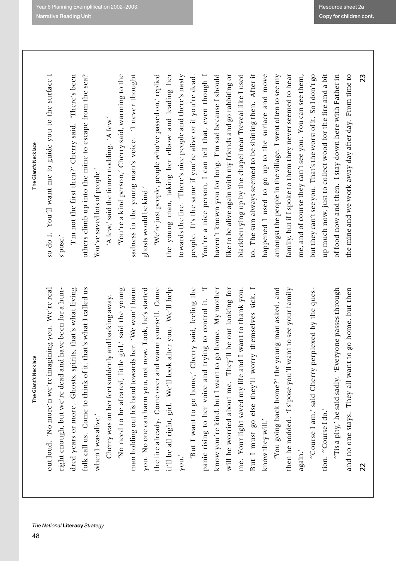dred years or more. Ghosts, spirits, that's what living out loud. 'No more'n we're imagining you. We're real dred years or more. Ghosts, spirits, that's what living olk call us. Come to think of it, that's what I called us out loud. 'No more'n we're imagining you. We're real right enough, but we're dead and have been for a hunfolk call us. Come to think of it, that's what I called us right enough, but we're dead and have been for a hunwhen I was alive.' when I was alive.'

Cherry was on her feet suddenly and backing away. Cherry was on her feet suddenly and backing away.

'No need to be afeared, little girl,' said the young it'll be all right, girl. We'll look after you. We'll help tt'll be all right, girl. We'll look after you. We'll help No need to be afeared, little girl,' said the young man holding out his hand towards her. 'We won't harm vou. No one can harm you, not now. Look, he's started the fire already. Come over and warm yourself. Come man holding out his hand towards her. 'We won't harm you. No one can harm you, not now. Look, he's started the fire already. Come over and warm yourself. Come you.'

'But I want to go home,' Cherry said, feeling the panic rising to her voice and trying to control it. 'I will be worried about me. They'll be out looking for me. Your light saved my life and I want to thank you. But I must go else they'll worry themselves sick, I 'But I want to go home,' Cherry said, feeling the know you're kind, but I want to go home. My mother panic rising to her voice and trying to control it. 'I will be worried about me. They'll be out looking for me. Your light saved my life and I want to thank you. know you're kind, but I want to go home. My mother But I must go else they'll worry themselves sick, know they will.' know they will.

'You going back home?' the young man asked, and then he nodded. 'I s'pose you'll want to see your family 'You going back home?' the young man asked, and then he nodded. 'I s'pose you'll want to see your family again.'

"Course I am,' said Cherry perplexed by the ques-''Course I am,' said Cherry perplexed by the question. ''Course I do.' tion. "Course Ido."

and no one stays. They all want to go home, but then "Tis a pity,' he said sadly. 'Everyone passes through and no one stays. They all want to go home, but then ''Tis a pity,' he said sadly. 'Everyone passes through

The Giant's Necklace

so do I. You'll want me to guide you to the surface I<br>s'pose.'<br>'I'm not the first then?' Cherry said. 'There's been<br>others climb up into the mine to escape from the sea? You've saved lots of people.' You've saved lots of people.

A few,' said the tinner nodding. 'A few.' 'A few,' said the tinner nodding. 'A few.'

sadness in the young man's voice. 'I never thought 'You're a kind person,' Cherry said, warming to the 'You're a kind person,' Cherry said, warming to the sadness in the young man's voice. 'I never thought ghosts would be kind.' ghosts would be kind.'

the young man, taking her elbow and leading her You're a nice person, I can tell that, even though I haven't known you for long. I'm sad because I should blackberrying up by the chapel near Treveal like I used up much now, just to collect wood for the fire and a bit of food now and then. I stay down here with Father in the young man, taking her elbow and leading her You're a nice person, I can tell that, even though I haven't known you for long. I'm sad because I should to. The sun always seemed to be shining then. After it happened I used to go up to the surface and move family, but if I spoke to them they never seemed to hear but they can't see you. That's the worst of it. So I don't go up much now, just to collect wood for the fire and a bit of food now and then. I stay down here with Father in the mine and we work away day after day. From time to We're just people, people who've passed on,' replied 'We're just people, people who've passed on,' replied towards the fire. "There's nice people and there's nasty towards the fire. 'There's nice people and there's nasty people. It's the same if you're alive or if you're dead. like to be alive again with my friends and go rabbiting or like to be alive again with my friends and go rabbiting or blackberrying up by the chapel near Treveal like I used to. The sun always seemed to be shining then. After it happened I used to go up to the surface and move amongst the people in the village. I went often to see my amongst the people in the village. I went often to see my family, but if I spoke to them they never seemed to hear me, and of course they can't see you. You can see them, but they can't see you. That's the worst of it. So I don't go the mine and we work away day after day. From time to people. It's the same if you're alive or if you're dead. me, and of course they can't see you. You can see them,

23

*The National* **Literacy** *Strategy*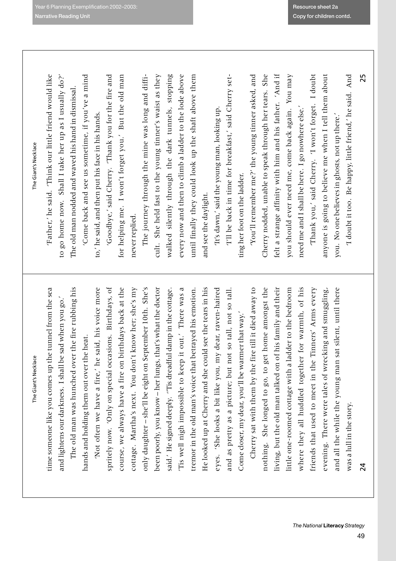ime someone like you comes up the tunnel from the sea time someone like you comes up the tunnel from the sea and lightens our darkness. I shall be sad when you go.' and lightens our darkness. I shall be sad when you go.' The old man was hunched over the fire rubbing his The old man was hunched over the fire rubbing his nands and holding them out over the heat. hands and holding them out over the heat.

course, we always have a fire on birthdays back at the eyes. 'She looks a bit like you, my dear, raven-haired and as pretty as a picture; but not so tall, not so tall. Not often we have a fire,' he said, his voice more spritely now. 'Only on special occasions. Birthdays, of course, we always have a fire on birthdays back at the cottage. Martha's next. You don't know her; she's my only daughter - she'll be eight on September 10th. She's been poorly, you know - her lungs, that's what the doctor said.' He signed deeply. "Tis dreadful damp in the cottage. Tis well nigh impossible to keep it out.' There was a remor in the old man's voice that betrayed his emotion. He looked up at Cherry and she could see the tears in his eyes. 'She looks a bit like you, my dear, raven-haired and as pretty as a picture; but not so tall, not so tall. 'Not often we have a fire,' he said, his voice more spritely now. 'Only on special occasions. Birthdays, of cottage. Martha's next. You don't know her; she's my only daughter – she'll be eight on September 10th. She's been poorly, you know – her lungs, that's what the doctor 'Tis well nigh impossible to keep it out.' There was a He looked up at Cherry and she could see the tears in his said.' He signed deeply. ''Tis dreadful damp in the cottage. tremor in the old man's voice that betrayed his emotion. Come closer, my dear, you'll be warmer that way.' Come closer, my dear, you'll be warmer that way.'

nothing. She longed to go, to get home amongst the and all the while the young man sat silent, until there Cherry sat with them by the fire till it died away to nothing. She longed to go, to get home amongst the iving, but the old man talked on of his family and their ittle one-roomed cottage with a ladder to the bedroom where they all huddled together for warmth, of his friends that used to meet in the Tinners' Arms every and all the while the young man sat silent, until there Cherry sat with them by the fire till it died away to living, but the old man talked on of his family and their little one-roomed cottage with a ladder to the bedroom where they all huddled together for warmth, of his friends that used to meet in the Tinners' Arms every evening. There were tales of wrecking and smuggling, evening. There were tales of wrecking and smuggling, was a lull in the story. was a lull in the story.

The Giant's Necklace

'Father,' he said. 'Think our little friend would like to go home now. Shall I take her up as I usually do?' The old man nodded and waved his hand in dismissal. 'Come back and see us sometime, if you've a mind

to,' he said, and then put his face in his hands. to,' he said, and then put his face in his hands.

Goodbye,' said Cherry. 'Thank you for the fire and for helping me. I won't forget you.' But the old man 'Goodbye,' said Cherry. 'Thank you for the fire and for helping me. I won't forget you.' But the old man never replied. never replied.

walked silently through the dark tunnels, stopping until finally they could look up the shaft above them stopping every now and then to climb a ladder to the lode above The journey through the mine was long and difficult. She held fast to the young tinner's waist as they cult. She held fast to the young tinner's waist as they every now and then to climb a ladder to the lode above until finally they could look up the shaft above them The journey through the mine was long and diffiwalked silently through the dark tunnels, and see the daylight. and see the daylight.

It's dawn,' said the young man, looking up. 'It's dawn,' said the young man, looking up. 'I'll be back in time for breakfast,' said Cherry set-'I'll be back in time for breakfast,' said Cherry setting her foot on the ladder. ting her foot on the ladder.

felt a strange affinity with him and his father. 'And if Cherry nodded, unable to speak through her tears. She felt a strange affinity with him and his father. 'And if 'You'll remember me?' the young tinner asked, and 'You'll remember me?' the young tinner asked, and Cherry nodded, unable to speak through her tears. She you should ever need me, come back again. You may you should ever need me, come back again. You may need me and I shall be here. I go nowhere else.' need me and I shall be here. I go nowhere else.

'Thank you,' said Cherry. 'I won't forget. I doubt anyone is going to believe me when I tell them about anyone is going to believe me when I tell them about Thank you,' said Cherry. 'I won't forget. I doubt you. No one believes in ghosts, not up there.' you. No one believes in ghosts, not up there.'

'I doubt it too. Be happy, little friend,' he said. And I doubt it too. Be happy, little friend,' he said. And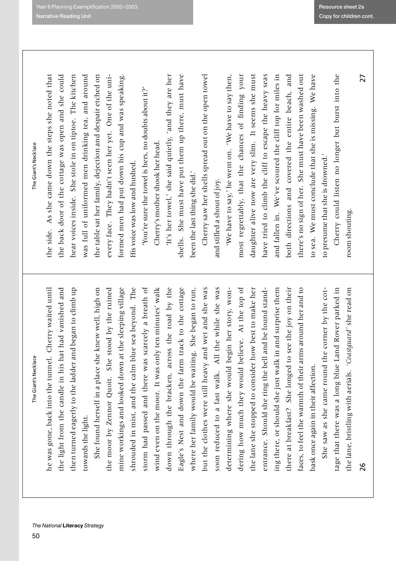50

the light from the candle in his hat had vanished and ne was gone, back into the tunnel. Cherry waited until the light from the candle in his hat had vanished and then turned eagerly to the ladder and began to climb up he was gone, back into the tunnel. Cherry waited until then turned eagerly to the ladder and began to climb up owards the light. towards the light.

*The National* **Literacy** *Strategy*

the moor by Zennor Quoit. She stood by the ruined storm had passed and there was scarcely a breath of down through the bracken, across the road by the Eagle's Nest and down the farm track to the cottage but the clothes were still heavy and wet and she was soon reduced to a fast walk. All the while she was dering how much they would believe. At the top of the moor by Zennor Quoit. She stood by the ruined mine workings and looked down at the sleeping village but the clothes were still heavy and wet and she was soon reduced to a fast walk. All the while she was there at breakfast? She longed to see the joy on their aces, to feel the warmth of their arms around her and to She found herself in a place she knew well, high on shrouded in mist, and the calm blue sea beyond. The storm had passed and there was scarcely a breath of wind even on the moor. It was only ten minutes' walk down through the bracken, across the road by the Eagle's Nest and down the farm track to the cottage where her family would be waiting. She began to run, determining where she would begin her story, wondering how much they would believe. At the top of the lane she stopped to consider how best to make her entrance. Should she ring the bell and be found standng there, or should she just walk in and surprise them She found herself in a place she knew well, high on mine workings and looked down at the sleeping village shrouded in mist, and the calm blue sea beyond. The wind even on the moor. It was only ten minutes' walk the lane she stopped to consider how best to make her ing there, or should she just walk in and surprise them there at breakfast? She longed to see the joy on their faces, to feel the warmth of their arms around her and to where her family would be waiting. She began to run, determining where she would begin her story, wonentrance. Should she ring the bell and be found standbask once again in their affection. bask once again in their affection.

tage that there was a long blue Land Rover parked in She saw as she came round the corner by the cotage that there was a long blue Land Rover parked in the lane, bristling with aerials. 'Coastguard' she read on the lane, bristling with aerials. *'Coastguard'* she read on She saw as she came round the corner by the cot-

26

# The Giant's Necklace The Giant's Necklace The Giant's Necklace

formed men had put down his cup and was speaking. the side. As she came down the steps she noted that the back door of the cottage was open and she could hear voices inside. She stole in on tiptoe. The kitchen was full of uniformed men drinking tea, and around the table sat her family, dejection and despair etched on the table sat her family, dejection and despair etched on every face. They hadn't seen her yet. One of the uniformed men had put down his cup and was speaking. every face. They hadn't seen her yet. One of the uni-His voice was low and hushed. His voice was low and hushed.

'You're sure the towel is hers, no doubts about it?' You're sure the towel is hers, no doubts about it? Cherry's mother shook her head. Cherry's mother shook her head.

shells. She must have put them up there, must have 'It's her towel,' she said quietly, 'and they are her shells. She must have put them up there, must have 'It's her towel,' she said quietly, 'and they are her been the last thing she did.' been the last thing she did.'

Cherry saw her shells spread out on the open towel Cherry saw her shells spread out on the open towel and stifled a shout of joy. and stifled a shout of joy.

most regrettably, that the chances of finding your daughter alive now are very slim. It seems she must have tried to climb the cliff to escape the heavy seas and fallen in. We've scoured the cliff top for miles in both directions and covered the entire beach, and there's no sign of her. She must have been washed out to sea. We must conclude that she is missing. We have daughter alive now are very slim. It seems she must have tried to climb the cliff to escape the heavy seas and fallen in. We've scoured the cliff top for miles in both directions and covered the entire beach, and there's no sign of her. She must have been washed out to sea. We must conclude that she is missing. We have 'We have to say,' he went on. 'We have to say then, most regrettably, that the chances of finding your 'We have to say,' he went on. 'We have to say then, to presume that she is drowned.' to presume that she is drowned.'

Cherry could listen no longer but burst into the Cherry could listen no longer but burst into the room shouting. room shouting.